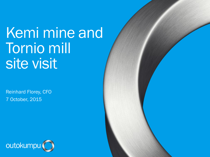# Kemi mine and Tornio mill site visit

Reinhard Florey, CFO 7 October, 2015



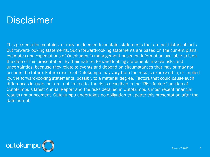#### Disclaimer

This presentation contains, or may be deemed to contain, statements that are not historical facts but forward-looking statements. Such forward-looking statements are based on the current plans, estimates and expectations of Outokumpu's management based on information available to it on the date of this presentation. By their nature, forward-looking statements involve risks and uncertainties, because they relate to events and depend on circumstances that may or may not occur in the future. Future results of Outokumpu may vary from the results expressed in, or implied by, the forward-looking statements, possibly to a material degree. Factors that could cause such differences include, but are not limited to, the risks described in the "Risk factors" section of Outokumpu's latest Annual Report and the risks detailed in Outokumpu's most recent financial results announcement. Outokumpu undertakes no obligation to update this presentation after the date hereof.

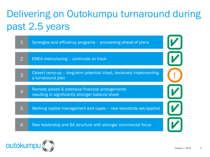# Delivering on Outokumpu turnaround during past 2.5 years



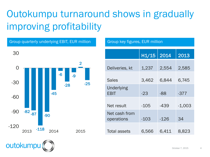# Outokumpu turnaround shows in gradually improving profitability

Group quarterly underlying EBIT, EUR million Group key figures, EUR million

#### -82 -87 -118 -90 -45 -6 -28 -9 2 -25 -120 -90 -60 -30  $\overline{0}$ 30  $2013$   $-110$   $2014$   $2015$

 $H1/15$  2014 2013 Deliveries, kt 1,237 2,554 2,585 Sales 3,462 6,844 6,745 Underlying EBIT -23 -88 -377 Net result  $-105$   $-439$   $-1,003$ Net cash from operations -103 -126 34 Total assets 6,566 6,411 8,823

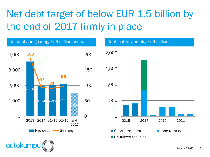### Net debt target of below EUR 1.5 billion by the end of 2017 firmly in place



October 7, 2015 5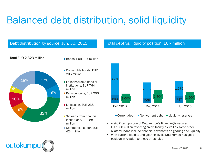### Balanced debt distribution, solid liquidity

#### Debt distribution by source, Jun. 30, 2015

#### Total debt vs. liquidity position, EUR million

#### Total EUR 2,323 million Bonds, EUR 397 million



- 
- Convertible bonds, EUR 206 million
- $\blacksquare$  L-t loans from financial institutions, EUR 764 million
- **Pension loans, EUR 206** million
- L-t leasing, EUR 238 million
- S-t loans from financial institutions, EUR 88 million
- Commercial paper, EUR 424 million



■ Current debt ■ Non-current debt ■ Liquidity reserves

• A significant portion of Outokumpu's financing is secured

- EUR 900 million revolving credit facility as well as some other bilateral loans include financial covenants on gearing and liquidity
- With current liquidity and gearing levels Outokumpu has good position in relation to those thresholds

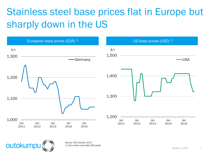### Stainless steel base prices flat in Europe but sharply down in the US





Source: CRU October 2015 1) 2mm sheet cold rolled 304 grade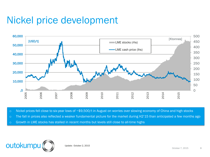#### Nickel price development



o Nickel prices fell close to six-year lows of ~\$9,500/t in August on worries over slowing economy of China and high stocks

o The fall in prices also reflected a weaker fundamental picture for the market during H2'15 than anticipated a few months ago

o Growth in LME stocks has stalled in recent months but levels still close to all-time highs



Update: October 2, 2015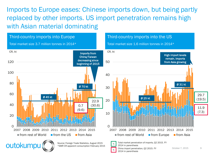Imports to Europe eases: Chinese imports down, but being partly replaced by other imports. US import penetration remains high with Asian material dominating

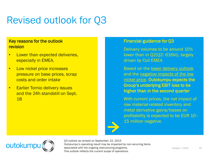### Revised outlook for Q3

#### Key reasons for the outlook revision

- Lower than expected deliveries. especially in EMEA.
- Low nickel price increases pressure on base prices, scrap costs and order intake
- Earlier Tornio delivery issues and the 24h standstill on Sept. 18

#### Financial guidance for Q3

Delivery volumes to be around 10% lower than in Q2(Q2: 616kt), largely driven by Coil EMEA

Based on the lower delivery outlook and the negative impacts of the low nickel price, Outokumpu expects the Group's underlying EBIT loss to be higher than in the second quarter

With current prices, the net impact of raw material-related inventory and metal derivative gains/losses on profitability is expected to be EUR 10– 15 million negative.

![](_page_9_Picture_9.jpeg)

Q3 outlook as revised on September 22, 2015 Outokumpu's operating result may be impacted by non-recurring items associated with the ongoing restructuring programs. This outlook reflects the current scope of operations.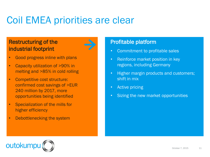### Coil EMEA priorities are clear

#### Restructuring of the industrial footprint

- Good progress inline with plans
- Capacity utilization of >90% in melting and >85% in cold rolling
- Competitive cost structure: confirmed cost savings of >EUR 240 million by 2017, more opportunities being identified
- Specialization of the mills for higher efficiency
- Debottlenecking the system

#### Profitable platform

- Commitment to profitable sales
- Reinforce market position in key regions, including Germany
- Higher margin products and customers; shift in mix
- Active pricing
- Sizing the new market opportunities

![](_page_10_Picture_13.jpeg)